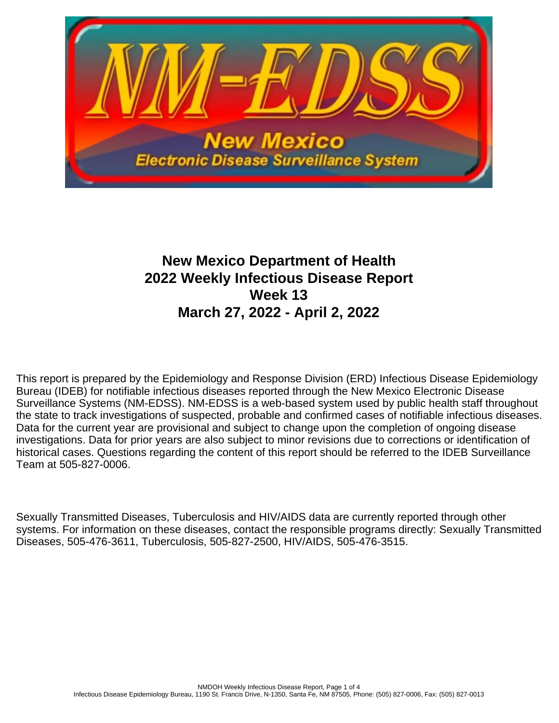

# **New Mexico Department of Health 2022 Weekly Infectious Disease Report Week 13 March 27, 2022 - April 2, 2022**

This report is prepared by the Epidemiology and Response Division (ERD) Infectious Disease Epidemiology Bureau (IDEB) for notifiable infectious diseases reported through the New Mexico Electronic Disease Surveillance Systems (NM-EDSS). NM-EDSS is a web-based system used by public health staff throughout the state to track investigations of suspected, probable and confirmed cases of notifiable infectious diseases. Data for the current year are provisional and subject to change upon the completion of ongoing disease investigations. Data for prior years are also subject to minor revisions due to corrections or identification of historical cases. Questions regarding the content of this report should be referred to the IDEB Surveillance Team at 505-827-0006.

Sexually Transmitted Diseases, Tuberculosis and HIV/AIDS data are currently reported through other systems. For information on these diseases, contact the responsible programs directly: Sexually Transmitted Diseases, 505-476-3611, Tuberculosis, 505-827-2500, HIV/AIDS, 505-476-3515.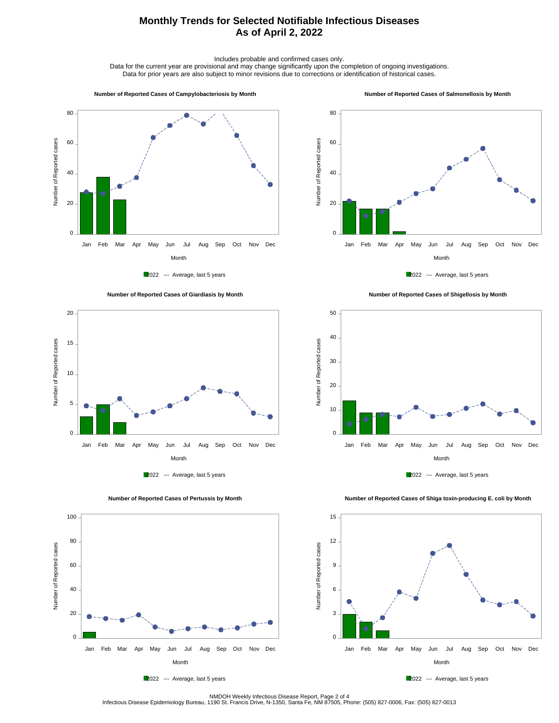## **Monthly Trends for Selected Notifiable Infectious Diseases As of April 2, 2022**

Includes probable and confirmed cases only.

Data for the current year are provisional and may change significantly upon the completion of ongoing investigations. Data for prior years are also subject to minor revisions due to corrections or identification of historical cases.

#### **Number of Reported Cases of Campylobacteriosis by Month**

#### **Number of Reported Cases of Salmonellosis by Month**









 **Number of Reported Cases of Shigellosis by Month**





Number of Reported cases

Number of Reported cases

 $0 -$ 

20

40

60

80

100

 **Number of Reported Cases of Shiga toxin-producing E. coli by Month**



2022 --- Average, last 5 years

Month Jan Feb Mar Apr May Jun Jul Aug Sep Oct Nov Dec



NMDOH Weekly Infectious Disease Report, Page 2 of 4<br>Infectious Disease Epidemiology Bureau, 1190 St. Francis Drive, N-1350, Santa Fe, NM 87505, Phone: (505) 827-0006, Fax: (505) 827-0013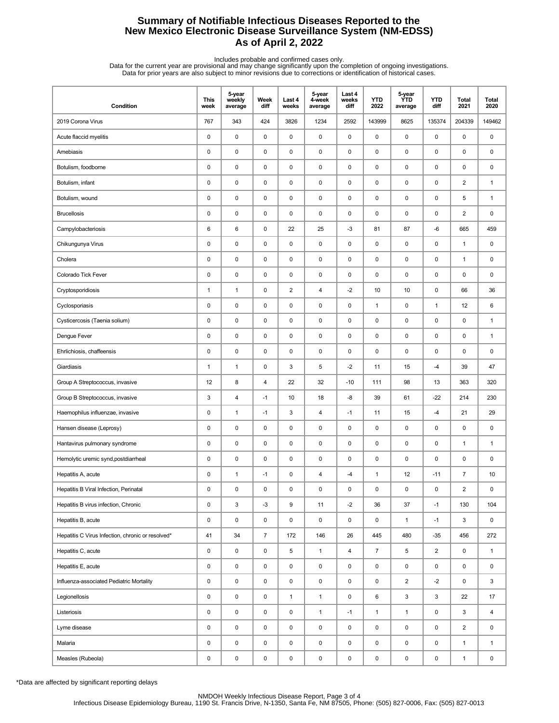## **Summary of Notifiable Infectious Diseases Reported to the New Mexico Electronic Disease Surveillance System (NM-EDSS) As of April 2, 2022**

Includes probable and confirmed cases only.<br>Data for the current year are provisional and may change significantly upon the completion of ongoing investigations.<br>Data for prior years are also subject to minor revisions due

| Condition                                         | <b>This</b><br>week | 5-year<br>weekly<br>average | Week<br>diff   | Last 4<br>weeks         | 5-year<br>4-week<br>average | Last 4<br>weeks<br>diff | <b>YTD</b><br>2022 | 5-year<br><b>YTD</b><br>average | <b>YTD</b><br>diff | Total<br>2021  | <b>Total</b><br>2020 |
|---------------------------------------------------|---------------------|-----------------------------|----------------|-------------------------|-----------------------------|-------------------------|--------------------|---------------------------------|--------------------|----------------|----------------------|
| 2019 Corona Virus                                 | 767                 | 343                         | 424            | 3826                    | 1234                        | 2592                    | 143999             | 8625                            | 135374             | 204339         | 149462               |
| Acute flaccid myelitis                            | $\pmb{0}$           | $\mathsf 0$                 | 0              | 0                       | $\mathsf 0$                 | $\pmb{0}$               | $\pmb{0}$          | 0                               | $\pmb{0}$          | 0              | 0                    |
| Amebiasis                                         | 0                   | 0                           | 0              | 0                       | 0                           | $\mathbf 0$             | 0                  | 0                               | $\pmb{0}$          | 0              | 0                    |
| Botulism, foodborne                               | 0                   | 0                           | 0              | 0                       | 0                           | $\pmb{0}$               | $\pmb{0}$          | 0                               | $\pmb{0}$          | 0              | 0                    |
| Botulism, infant                                  | 0                   | 0                           | 0              | 0                       | 0                           | $\mathbf 0$             | $\pmb{0}$          | 0                               | $\mathbf 0$        | $\overline{2}$ | $\mathbf{1}$         |
| Botulism, wound                                   | 0                   | $\pmb{0}$                   | 0              | 0                       | $\pmb{0}$                   | $\pmb{0}$               | $\pmb{0}$          | 0                               | $\pmb{0}$          | 5              | $\mathbf{1}$         |
| <b>Brucellosis</b>                                | 0                   | 0                           | 0              | 0                       | 0                           | $\mathbf 0$             | 0                  | 0                               | $\mathbf 0$        | $\overline{2}$ | 0                    |
| Campylobacteriosis                                | 6                   | 6                           | 0              | 22                      | 25                          | $-3$                    | 81                 | 87                              | -6                 | 665            | 459                  |
| Chikungunya Virus                                 | 0                   | $\mathbf 0$                 | 0              | 0                       | 0                           | $\mathbf 0$             | $\pmb{0}$          | 0                               | $\pmb{0}$          | 1              | 0                    |
| Cholera                                           | 0                   | 0                           | 0              | 0                       | 0                           | $\mathbf 0$             | $\pmb{0}$          | 0                               | $\mathbf 0$        | 1              | 0                    |
| Colorado Tick Fever                               | 0                   | $\mathsf 0$                 | 0              | 0                       | 0                           | $\mathbf 0$             | $\mathbf 0$        | 0                               | $\pmb{0}$          | 0              | 0                    |
| Cryptosporidiosis                                 | 1                   | $\mathbf{1}$                | 0              | $\overline{\mathbf{c}}$ | $\overline{\mathbf{4}}$     | $-2$                    | 10                 | 10                              | $\pmb{0}$          | 66             | 36                   |
| Cyclosporiasis                                    | 0                   | 0                           | 0              | 0                       | 0                           | $\mathbf 0$             | $\mathbf{1}$       | 0                               | $\mathbf{1}$       | 12             | 6                    |
| Cysticercosis (Taenia solium)                     | 0                   | 0                           | 0              | 0                       | 0                           | 0                       | $\pmb{0}$          | 0                               | $\pmb{0}$          | 0              | 1                    |
| Dengue Fever                                      | 0                   | 0                           | 0              | 0                       | 0                           | $\mathbf 0$             | $\pmb{0}$          | 0                               | $\mathbf 0$        | 0              | $\mathbf{1}$         |
| Ehrlichiosis, chaffeensis                         | 0                   | $\mathsf 0$                 | 0              | 0                       | $\pmb{0}$                   | $\mathbf 0$             | $\mathbf 0$        | 0                               | $\pmb{0}$          | 0              | 0                    |
| Giardiasis                                        | 1                   | $\mathbf{1}$                | 0              | 3                       | 5                           | $-2$                    | 11                 | 15                              | $-4$               | 39             | 47                   |
| Group A Streptococcus, invasive                   | 12                  | 8                           | 4              | 22                      | 32                          | $-10$                   | 111                | 98                              | 13                 | 363            | 320                  |
| Group B Streptococcus, invasive                   | 3                   | 4                           | $-1$           | 10                      | 18                          | -8                      | 39                 | 61                              | $-22$              | 214            | 230                  |
| Haemophilus influenzae, invasive                  | 0                   | $\mathbf{1}$                | $-1$           | 3                       | $\overline{\mathbf{4}}$     | $-1$                    | 11                 | 15                              | $-4$               | 21             | 29                   |
| Hansen disease (Leprosy)                          | 0                   | $\mathsf 0$                 | 0              | 0                       | 0                           | $\pmb{0}$               | $\pmb{0}$          | 0                               | $\pmb{0}$          | 0              | 0                    |
| Hantavirus pulmonary syndrome                     | 0                   | 0                           | 0              | 0                       | 0                           | $\mathbf 0$             | 0                  | 0                               | $\pmb{0}$          | 1              | $\mathbf{1}$         |
| Hemolytic uremic synd, postdiarrheal              | 0                   | 0                           | 0              | 0                       | $\pmb{0}$                   | $\mathbf 0$             | 0                  | 0                               | $\pmb{0}$          | 0              | 0                    |
| Hepatitis A, acute                                | 0                   | $\mathbf{1}$                | $-1$           | 0                       | $\overline{\mathbf{4}}$     | -4                      | $\mathbf{1}$       | 12                              | $-11$              | $\overline{7}$ | 10                   |
| Hepatitis B Viral Infection, Perinatal            | 0                   | 0                           | 0              | 0                       | $\pmb{0}$                   | 0                       | $\pmb{0}$          | 0                               | 0                  | $\overline{2}$ | 0                    |
| Hepatitis B virus infection, Chronic              | 0                   | $\mathbf 3$                 | $-3$           | 9                       | 11                          | $-2$                    | 36                 | 37                              | $-1$               | 130            | 104                  |
| Hepatitis B, acute                                | 0                   | $\pmb{0}$                   | 0              | 0                       | $\pmb{0}$                   | $\pmb{0}$               | $\pmb{0}$          | $\mathbf{1}$                    | $-1$               | 3              | 0                    |
| Hepatitis C Virus Infection, chronic or resolved* | 41                  | 34                          | $\overline{7}$ | 172                     | 146                         | 26                      | 445                | 480                             | $-35$              | 456            | 272                  |
| Hepatitis C, acute                                | 0                   | $\mathsf 0$                 | 0              | 5                       | $\mathbf{1}$                | $\overline{4}$          | $\overline{7}$     | 5                               | $\overline{2}$     | 0              | $\mathbf{1}$         |
| Hepatitis E, acute                                | 0                   | $\pmb{0}$                   | 0              | 0                       | 0                           | 0                       | $\pmb{0}$          | 0                               | $\mathbf 0$        | 0              | $\mathbf 0$          |
| Influenza-associated Pediatric Mortality          | 0                   | $\pmb{0}$                   | 0              | 0                       | $\pmb{0}$                   | $\mathbf 0$             | $\mathsf 0$        | $\overline{\mathbf{c}}$         | $-2$               | 0              | 3                    |
| Legionellosis                                     | 0                   | $\pmb{0}$                   | 0              | $\mathbf{1}$            | $\mathbf{1}$                | 0                       | 6                  | 3                               | 3                  | 22             | 17                   |
| Listeriosis                                       | 0                   | $\pmb{0}$                   | 0              | 0                       | $\mathbf{1}$                | $-1$                    | $\mathbf{1}$       | $\mathbf{1}$                    | $\mathbf 0$        | 3              | 4                    |
| Lyme disease                                      | 0                   | $\mathsf 0$                 | 0              | 0                       | $\pmb{0}$                   | $\mathbf 0$             | $\pmb{0}$          | 0                               | $\mathsf 0$        | $\overline{2}$ | 0                    |
| Malaria                                           | 0                   | $\mathsf 0$                 | 0              | 0                       | $\pmb{0}$                   | $\mathsf 0$             | 0                  | 0                               | $\mathbf 0$        | $\mathbf{1}$   | $\mathbf{1}$         |
| Measles (Rubeola)                                 | 0                   | $\pmb{0}$                   | 0              | 0                       | $\pmb{0}$                   | 0                       | 0                  | 0                               | 0                  | $\mathbf{1}$   | 0                    |

\*Data are affected by significant reporting delays